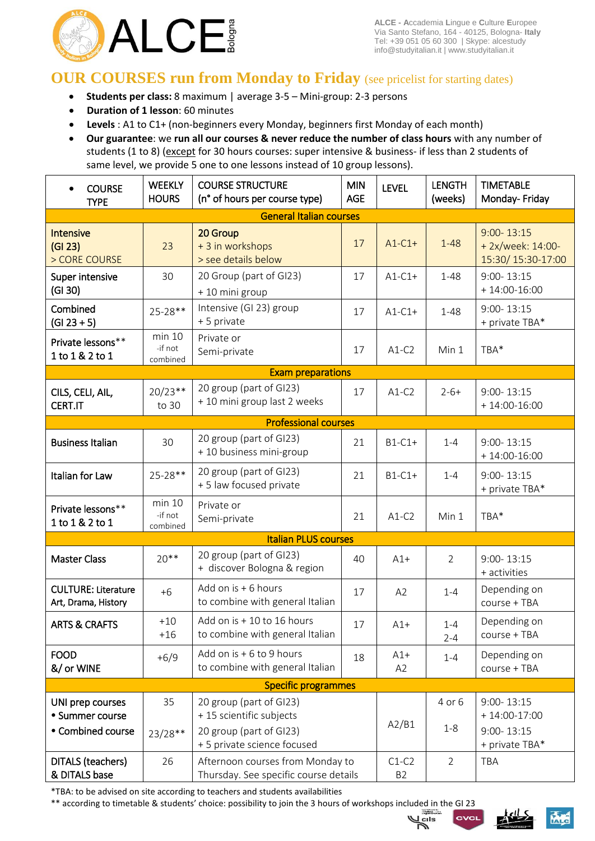

# **OUR COURSES run from Monday to Friday** (see pricelist for starting dates)

- **Students per class:** 8 maximum | average 3-5 Mini-group: 2-3 persons
- **Duration of 1 lesson**: 60 minutes
- **Levels** : A1 to C1+ (non-beginners every Monday, beginners first Monday of each month)
- **Our guarantee**: we **run all our courses & never reduce the number of class hours** with any number of students (1 to 8) (except for 30 hours courses: super intensive & business- if less than 2 students of same level, we provide 5 one to one lessons instead of 10 group lessons).

| <b>COURSE</b><br><b>TYPE</b>                      | <b>WEEKLY</b><br><b>HOURS</b>                                       | <b>COURSE STRUCTURE</b><br><b>MIN</b><br>(n° of hours per course type)<br><b>AGE</b> |                           | <b>LEVEL</b>            | <b>LENGTH</b><br>(weeks)         | <b>TIMETABLE</b><br>Monday-Friday                        |  |  |
|---------------------------------------------------|---------------------------------------------------------------------|--------------------------------------------------------------------------------------|---------------------------|-------------------------|----------------------------------|----------------------------------------------------------|--|--|
| <b>General Italian courses</b>                    |                                                                     |                                                                                      |                           |                         |                                  |                                                          |  |  |
| <b>Intensive</b><br>(GI 23)<br>> CORE COURSE      | 23                                                                  | 20 Group<br>+ 3 in workshops<br>> see details below                                  | 17                        | $A1-C1+$                | $1 - 48$                         | $9:00 - 13:15$<br>+ 2x/week: 14:00-<br>15:30/15:30-17:00 |  |  |
| Super intensive<br>(GI 30)                        | 30                                                                  | 20 Group (part of GI23)<br>+ 10 mini group                                           | 17                        | $A1-C1+$                | $1 - 48$                         | $9:00 - 13:15$<br>$+14:00-16:00$                         |  |  |
| Combined<br>$(GI 23 + 5)$                         | 25-28**                                                             | Intensive (GI 23) group<br>+ 5 private                                               | 17                        | $A1-C1+$                | $1 - 48$                         | $9:00 - 13:15$<br>+ private TBA*                         |  |  |
| Private lessons**<br>1 to 1 & 2 to 1              | min 10<br>-if not<br>combined                                       | Private or<br>Semi-private                                                           | 17                        | $A1-C2$                 | Min 1                            | TBA*                                                     |  |  |
|                                                   |                                                                     | <b>Exam preparations</b>                                                             |                           |                         |                                  |                                                          |  |  |
| CILS, CELI, AIL,<br><b>CERT.IT</b>                | $20/23**$<br>to 30                                                  | 20 group (part of GI23)<br>+ 10 mini group last 2 weeks                              |                           | $A1-C2$                 | $2 - 6 +$                        | $9:00 - 13:15$<br>$+14:00-16:00$                         |  |  |
|                                                   |                                                                     | <b>Professional courses</b>                                                          |                           |                         |                                  |                                                          |  |  |
| <b>Business Italian</b>                           | 30                                                                  | 20 group (part of GI23)<br>+ 10 business mini-group                                  | 21                        | $B1-C1+$                | $1 - 4$                          | $9:00 - 13:15$<br>$+14:00-16:00$                         |  |  |
| Italian for Law                                   | 25-28**                                                             | 20 group (part of GI23)<br>+ 5 law focused private                                   | 21                        | $B1-C1+$                | $1 - 4$                          | $9:00 - 13:15$<br>+ private TBA*                         |  |  |
| Private lessons**<br>1 to 1 & 2 to 1              | min 10<br>-if not<br>combined                                       | Private or<br>Semi-private                                                           | 21                        | $A1-C2$                 | Min 1                            | TBA*                                                     |  |  |
|                                                   |                                                                     | <b>Italian PLUS courses</b>                                                          |                           |                         |                                  |                                                          |  |  |
| <b>Master Class</b>                               | $20***$                                                             | 20 group (part of GI23)<br>+ discover Bologna & region                               | 40                        | $A1+$                   | $\overline{2}$                   | $9:00 - 13:15$<br>+ activities                           |  |  |
| <b>CULTURE: Literature</b><br>Art, Drama, History | $+6$                                                                | Add on is + 6 hours<br>to combine with general Italian                               | 17                        | A2                      | $1 - 4$                          | Depending on<br>course + TBA                             |  |  |
| <b>ARTS &amp; CRAFTS</b>                          | $+10$<br>$+16$                                                      | Add on is + 10 to 16 hours<br>to combine with general Italian                        | 17                        | $A1+$                   | $1 - 4$<br>$2 - 4$               | Depending on<br>course + TBA                             |  |  |
| <b>FOOD</b><br>&/ or WINE                         | $+6/9$                                                              | Add on is + 6 to 9 hours<br>to combine with general Italian                          | 18                        | $A1+$<br>A <sub>2</sub> | $1 - 4$                          | Depending on<br>course + TBA                             |  |  |
|                                                   |                                                                     | <b>Specific programmes</b>                                                           |                           |                         |                                  |                                                          |  |  |
| UNI prep courses<br>• Summer course               | 35<br>20 group (part of GI23)<br>+ 15 scientific subjects           |                                                                                      |                           | 4 or 6                  | $9:00 - 13:15$<br>$+14:00-17:00$ |                                                          |  |  |
| • Combined course                                 | 20 group (part of GI23)<br>$23/28**$<br>+ 5 private science focused |                                                                                      |                           | A2/B1                   | $1 - 8$                          | $9:00 - 13:15$<br>+ private TBA*                         |  |  |
| DITALS (teachers)<br>& DITALS base                | 26                                                                  | Afternoon courses from Monday to<br>Thursday. See specific course details            | $C1-C2$<br>B <sub>2</sub> | $\overline{2}$          | TBA                              |                                                          |  |  |

\*TBA: to be advised on site according to teachers and students availabilities

\*\* according to timetable & students' choice: possibility to join the 3 hours of workshops included in the GI 23



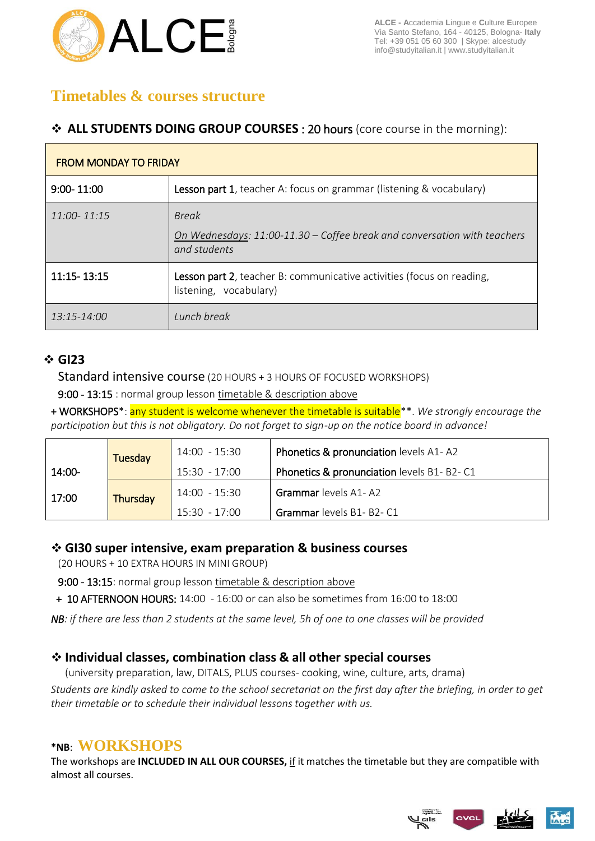

# **Timetables & courses structure**

#### **ALL STUDENTS DOING GROUP COURSES** : 20 hours (core course in the morning):

| <b>FROM MONDAY TO FRIDAY</b> |                                                                                                          |  |  |  |  |
|------------------------------|----------------------------------------------------------------------------------------------------------|--|--|--|--|
| $9:00 - 11:00$               | <b>Lesson part 1</b> , teacher A: focus on grammar (listening & vocabulary)                              |  |  |  |  |
| $11:00 - 11:15$              | <b>Break</b><br>On Wednesdays: 11:00-11.30 – Coffee break and conversation with teachers<br>and students |  |  |  |  |
| 11:15-13:15                  | Lesson part 2, teacher B: communicative activities (focus on reading,<br>listening, vocabulary)          |  |  |  |  |
| 13:15-14:00                  | Lunch break                                                                                              |  |  |  |  |

#### **GI23**

Standard intensive course (20 HOURS + 3 HOURS OF FOCUSED WORKSHOPS)

9:00 - 13:15 : normal group lesson timetable & description above

+ WORKSHOPS\*: any student is welcome whenever the timetable is suitable\*\*. *We strongly encourage the participation but this is not obligatory. Do not forget to sign-up on the notice board in advance!*

|        | Tuesday  | 14:00 - 15:30   | Phonetics & pronunciation levels A1-A2                |
|--------|----------|-----------------|-------------------------------------------------------|
| 14:00- |          | 15:30 - 17:00   | <b>Phonetics &amp; pronunciation levels B1- B2-C1</b> |
| 17:00  | Thursday | $14:00 - 15:30$ | <b>Grammar</b> levels A1-A2                           |
|        |          | $15:30 - 17:00$ | Grammar levels B1- B2- C1                             |

#### **GI30 super intensive, exam preparation & business courses**

(20 HOURS + 10 EXTRA HOURS IN MINI GROUP)

9:00 - 13:15: normal group lesson timetable & description above

+ 10 AFTERNOON HOURS: 14:00 - 16:00 or can also be sometimes from 16:00 to 18:00

*NB: if there are less than 2 students at the same level, 5h of one to one classes will be provided*

## **Individual classes, combination class & all other special courses**

(university preparation, law, DITALS, PLUS courses- cooking, wine, culture, arts, drama) *Students are kindly asked to come to the school secretariat on the first day after the briefing, in order to get their timetable or to schedule their individual lessons together with us.*

## **\*NB**: **WORKSHOPS**

The workshops are **INCLUDED IN ALL OUR COURSES,** if it matches the timetable but they are compatible with almost all courses.

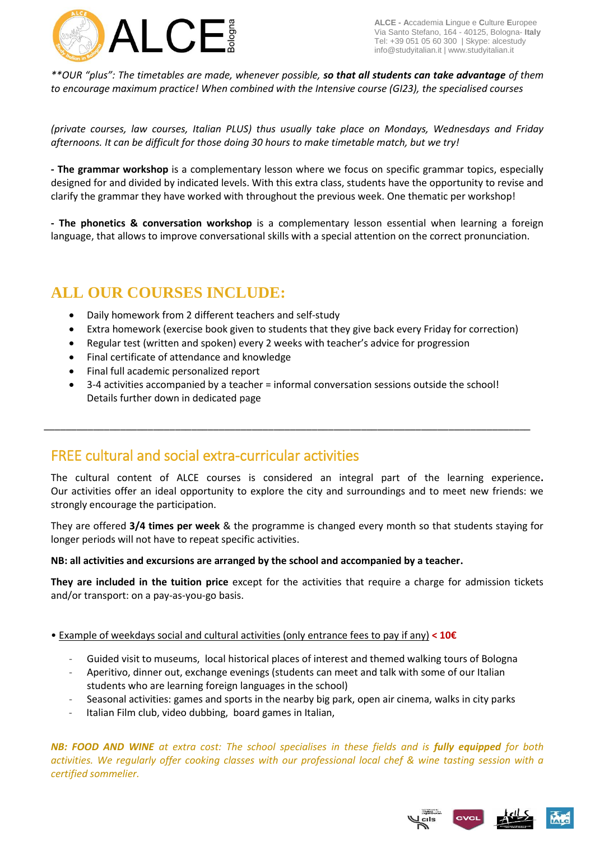

**ALCE - A**ccademia **L**ingue e **C**ulture **E**uropee Via Santo Stefano, 164 - 40125, Bologna- **Italy** Tel: +39 051 05 60 300 | Skype: alcestudy info@studyitalian.it | www.studyitalian.it

*\*\*OUR "plus": The timetables are made, whenever possible, so that all students can take advantage of them to encourage maximum practice! When combined with the Intensive course (GI23), the specialised courses* 

*(private courses, law courses, Italian PLUS) thus usually take place on Mondays, Wednesdays and Friday afternoons. It can be difficult for those doing 30 hours to make timetable match, but we try!*

**- The grammar workshop** is a complementary lesson where we focus on specific grammar topics, especially designed for and divided by indicated levels. With this extra class, students have the opportunity to revise and clarify the grammar they have worked with throughout the previous week. One thematic per workshop!

**- The phonetics & conversation workshop** is a complementary lesson essential when learning a foreign language, that allows to improve conversational skills with a special attention on the correct pronunciation.

# **ALL OUR COURSES INCLUDE:**

- Daily homework from 2 different teachers and self-study
- Extra homework (exercise book given to students that they give back every Friday for correction)
- Regular test (written and spoken) every 2 weeks with teacher's advice for progression
- Final certificate of attendance and knowledge
- Final full academic personalized report
- 3-4 activities accompanied by a teacher = informal conversation sessions outside the school! Details further down in dedicated page

\_\_\_\_\_\_\_\_\_\_\_\_\_\_\_\_\_\_\_\_\_\_\_\_\_\_\_\_\_\_\_\_\_\_\_\_\_\_\_\_\_\_\_\_\_\_\_\_\_\_\_\_\_\_\_\_\_\_\_\_\_\_\_\_\_\_\_\_\_\_\_\_\_\_\_\_\_\_\_\_\_\_\_\_\_\_\_\_\_

# FREE cultural and social extra-curricular activities

The cultural content of ALCE courses is considered an integral part of the learning experience**.**  Our activities offer an ideal opportunity to explore the city and surroundings and to meet new friends: we strongly encourage the participation.

They are offered **3/4 times per week** & the programme is changed every month so that students staying for longer periods will not have to repeat specific activities.

#### **NB: all activities and excursions are arranged by the school and accompanied by a teacher.**

**They are included in the tuition price** except for the activities that require a charge for admission tickets and/or transport: on a pay-as-you-go basis.

- Example of weekdays social and cultural activities (only entrance fees to pay if any) **< 10€**
	- Guided visit to museums, local historical places of interest and themed walking tours of Bologna
	- Aperitivo, dinner out, exchange evenings (students can meet and talk with some of our Italian students who are learning foreign languages in the school)
	- Seasonal activities: games and sports in the nearby big park, open air cinema, walks in city parks
	- Italian Film club, video dubbing, board games in Italian,

*NB: FOOD AND WINE at extra cost: The school specialises in these fields and is fully equipped for both activities. We regularly offer cooking classes with our professional local chef & wine tasting session with a certified sommelier.*